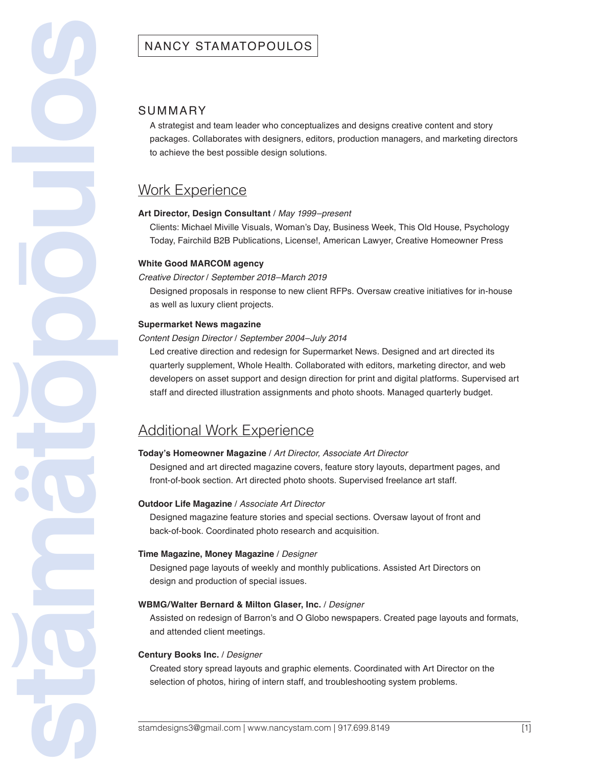### SUMMARY

A strategist and team leader who conceptualizes and designs creative content and story packages. Collaborates with designers, editors, production managers, and marketing directors to achieve the best possible design solutions.

## Work Experience

#### **Art Director, Design Consultant** / *May 1999–present*

Clients: Michael Miville Visuals, Woman's Day, Business Week, This Old House, Psychology Today, Fairchild B2B Publications, License!, American Lawyer, Creative Homeowner Press

#### **White Good MARCOM agency**

#### *Creative Director* / *September 2018–March 2019*

Designed proposals in response to new client RFPs. Oversaw creative initiatives for in-house as well as luxury client projects.

#### **Supermarket News magazine**

**stamatopoulos )**

**)**

**|**

#### *Content Design Director* / *September 2004–July 2014*

Led creative direction and redesign for Supermarket News. Designed and art directed its quarterly supplement, Whole Health. Collaborated with editors, marketing director, and web developers on asset support and design direction for print and digital platforms. Supervised art staff and directed illustration assignments and photo shoots. Managed quarterly budget.

# Additional Work Experience

### **Today's Homeowner Magazine** / *Art Director, Associate Art Director*

Designed and art directed magazine covers, feature story layouts, department pages, and front-of-book section. Art directed photo shoots. Supervised freelance art staff.

#### **Outdoor Life Magazine** / *Associate Art Director*

Designed magazine feature stories and special sections. Oversaw layout of front and back-of-book. Coordinated photo research and acquisition.

#### **Time Magazine, Money Magazine** / *Designer*

Designed page layouts of weekly and monthly publications. Assisted Art Directors on design and production of special issues.

#### **WBMG/Walter Bernard & Milton Glaser, Inc.** / *Designer*

Assisted on redesign of Barron's and O Globo newspapers. Created page layouts and formats, and attended client meetings.

#### **Century Books Inc.** / *Designer*

Created story spread layouts and graphic elements. Coordinated with Art Director on the selection of photos, hiring of intern staff, and troubleshooting system problems.